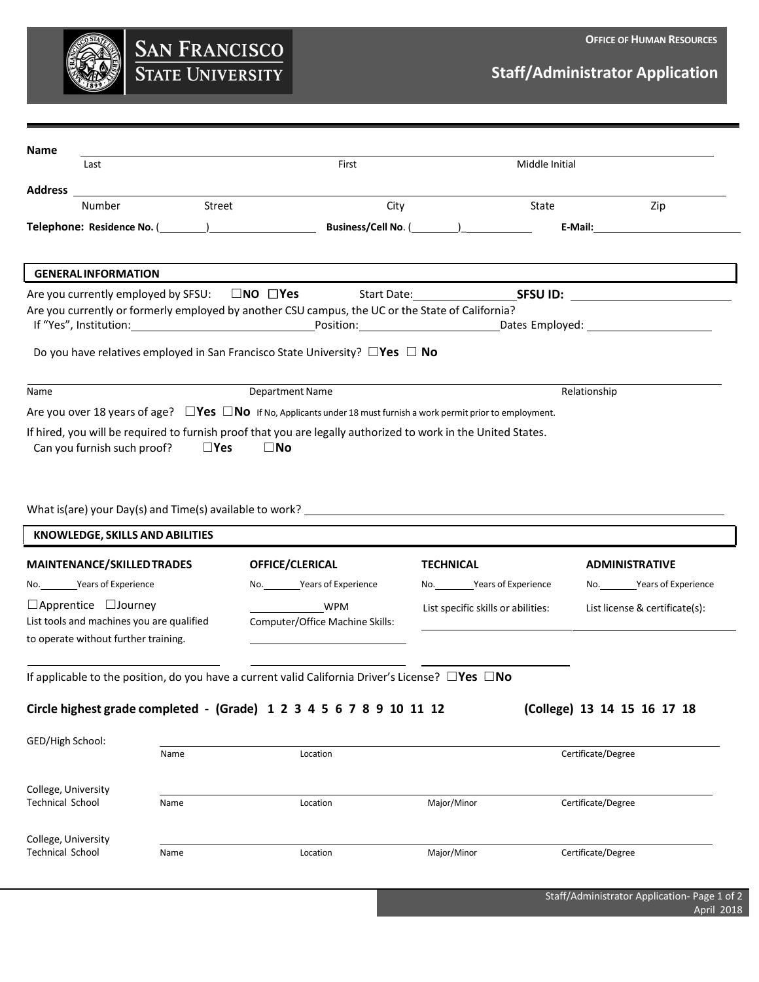

## **Staff/Administrator Application**

| Name                                                                                                                                                                                  |                                        |                               |                                                                                                                                                                                                                                |                                    |                |                       |                                |
|---------------------------------------------------------------------------------------------------------------------------------------------------------------------------------------|----------------------------------------|-------------------------------|--------------------------------------------------------------------------------------------------------------------------------------------------------------------------------------------------------------------------------|------------------------------------|----------------|-----------------------|--------------------------------|
| Last                                                                                                                                                                                  |                                        |                               | First                                                                                                                                                                                                                          |                                    | Middle Initial |                       |                                |
| <b>Address</b>                                                                                                                                                                        |                                        |                               |                                                                                                                                                                                                                                |                                    |                |                       |                                |
| Number                                                                                                                                                                                |                                        | Street                        | City                                                                                                                                                                                                                           |                                    | State          |                       | Zip                            |
|                                                                                                                                                                                       |                                        |                               | Telephone: Residence No. (Changeleffeld Controller Controller Controller Controller Controller Controller Controller Controller Controller Controller Controller Controller Controller Controller Controller Controller Contro |                                    |                |                       |                                |
| <b>GENERAL INFORMATION</b>                                                                                                                                                            |                                        |                               |                                                                                                                                                                                                                                |                                    |                |                       |                                |
| Are you currently employed by SFSU: $\Box$ NO $\Box$ Yes                                                                                                                              |                                        |                               |                                                                                                                                                                                                                                | Start Date: SESUID:                |                |                       |                                |
|                                                                                                                                                                                       |                                        |                               | Are you currently or formerly employed by another CSU campus, the UC or the State of California?                                                                                                                               |                                    |                |                       |                                |
|                                                                                                                                                                                       |                                        |                               | Do you have relatives employed in San Francisco State University? $\square$ Yes $\square$ No                                                                                                                                   |                                    |                |                       |                                |
| Name                                                                                                                                                                                  | <b>Department Name</b><br>Relationship |                               |                                                                                                                                                                                                                                |                                    |                |                       |                                |
|                                                                                                                                                                                       |                                        |                               | Are you over 18 years of age? $\square$ Yes $\square$ No If No, Applicants under 18 must furnish a work permit prior to employment.                                                                                            |                                    |                |                       |                                |
|                                                                                                                                                                                       |                                        |                               | If hired, you will be required to furnish proof that you are legally authorized to work in the United States.                                                                                                                  |                                    |                |                       |                                |
|                                                                                                                                                                                       |                                        | $\square$ Yes<br>$\square$ No |                                                                                                                                                                                                                                |                                    |                |                       |                                |
| Can you furnish such proof?<br>KNOWLEDGE, SKILLS AND ABILITIES                                                                                                                        |                                        |                               |                                                                                                                                                                                                                                |                                    |                |                       |                                |
|                                                                                                                                                                                       |                                        |                               | OFFICE/CLERICAL                                                                                                                                                                                                                | <b>TECHNICAL</b>                   |                | <b>ADMINISTRATIVE</b> |                                |
|                                                                                                                                                                                       |                                        |                               | No. Years of Experience                                                                                                                                                                                                        | No. ___________Years of Experience |                |                       | No. Years of Experience        |
|                                                                                                                                                                                       |                                        |                               | <b>WPM</b><br>Computer/Office Machine Skills:                                                                                                                                                                                  | List specific skills or abilities: |                |                       | List license & certificate(s): |
| <b>MAINTENANCE/SKILLED TRADES</b><br>No. Years of Experience<br>$\Box$ Apprentice $\Box$ Journey<br>List tools and machines you are qualified<br>to operate without further training. |                                        |                               | If applicable to the position, do you have a current valid California Driver's License? $\square$ Yes $\square$ No                                                                                                             |                                    |                |                       |                                |
|                                                                                                                                                                                       |                                        |                               | Circle highest grade completed - (Grade) 1 2 3 4 5 6 7 8 9 10 11 12                                                                                                                                                            |                                    |                |                       | (College) 13 14 15 16 17 18    |
|                                                                                                                                                                                       |                                        |                               |                                                                                                                                                                                                                                |                                    |                |                       |                                |
|                                                                                                                                                                                       | Name                                   |                               | Location                                                                                                                                                                                                                       |                                    |                | Certificate/Degree    |                                |
|                                                                                                                                                                                       |                                        |                               |                                                                                                                                                                                                                                |                                    |                |                       |                                |
|                                                                                                                                                                                       | Name                                   |                               | Location                                                                                                                                                                                                                       | Major/Minor                        |                | Certificate/Degree    |                                |
|                                                                                                                                                                                       |                                        |                               |                                                                                                                                                                                                                                |                                    |                |                       |                                |
| GED/High School:<br>College, University<br><b>Technical School</b><br>College, University<br><b>Technical School</b>                                                                  | Name                                   |                               | Location                                                                                                                                                                                                                       | Major/Minor                        |                | Certificate/Degree    |                                |